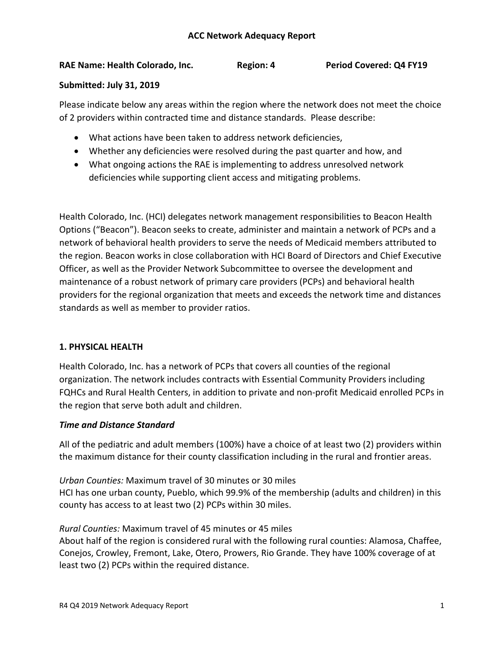# **RAE Name: Health Colorado, Inc. Region: 4 Period Covered: Q4 FY19**

## **Submitted: July 31, 2019**

Please indicate below any areas within the region where the network does not meet the choice of 2 providers within contracted time and distance standards. Please describe:

- What actions have been taken to address network deficiencies,
- Whether any deficiencies were resolved during the past quarter and how, and
- What ongoing actions the RAE is implementing to address unresolved network deficiencies while supporting client access and mitigating problems.

Health Colorado, Inc. (HCI) delegates network management responsibilities to Beacon Health Options ("Beacon"). Beacon seeks to create, administer and maintain a network of PCPs and a network of behavioral health providers to serve the needs of Medicaid members attributed to the region. Beacon works in close collaboration with HCI Board of Directors and Chief Executive Officer, as well as the Provider Network Subcommittee to oversee the development and maintenance of a robust network of primary care providers (PCPs) and behavioral health providers for the regional organization that meets and exceeds the network time and distances standards as well as member to provider ratios.

# **1. PHYSICAL HEALTH**

Health Colorado, Inc. has a network of PCPs that covers all counties of the regional organization. The network includes contracts with Essential Community Providers including FQHCs and Rural Health Centers, in addition to private and non-profit Medicaid enrolled PCPs in the region that serve both adult and children.

# *Time and Distance Standard*

All of the pediatric and adult members (100%) have a choice of at least two (2) providers within the maximum distance for their county classification including in the rural and frontier areas.

*Urban Counties:* Maximum travel of 30 minutes or 30 miles HCI has one urban county, Pueblo, which 99.9% of the membership (adults and children) in this county has access to at least two (2) PCPs within 30 miles.

*Rural Counties:* Maximum travel of 45 minutes or 45 miles

About half of the region is considered rural with the following rural counties: Alamosa, Chaffee, Conejos, Crowley, Fremont, Lake, Otero, Prowers, Rio Grande. They have 100% coverage of at least two (2) PCPs within the required distance.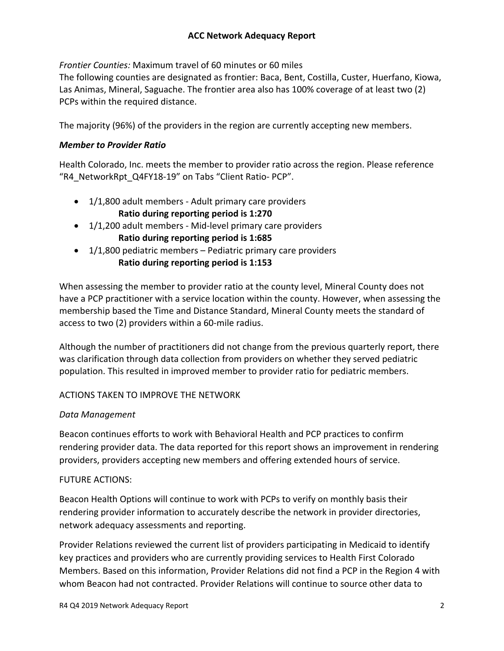*Frontier Counties:* Maximum travel of 60 minutes or 60 miles

The following counties are designated as frontier: Baca, Bent, Costilla, Custer, Huerfano, Kiowa, Las Animas, Mineral, Saguache. The frontier area also has 100% coverage of at least two (2) PCPs within the required distance.

The majority (96%) of the providers in the region are currently accepting new members.

# *Member to Provider Ratio*

Health Colorado, Inc. meets the member to provider ratio across the region. Please reference "R4\_NetworkRpt\_Q4FY18-19" on Tabs "Client Ratio- PCP".

- 1/1,800 adult members Adult primary care providers **Ratio during reporting period is 1:270**
- 1/1,200 adult members Mid-level primary care providers **Ratio during reporting period is 1:685**
- $\bullet$  1/1,800 pediatric members Pediatric primary care providers **Ratio during reporting period is 1:153**

When assessing the member to provider ratio at the county level, Mineral County does not have a PCP practitioner with a service location within the county. However, when assessing the membership based the Time and Distance Standard, Mineral County meets the standard of access to two (2) providers within a 60-mile radius.

Although the number of practitioners did not change from the previous quarterly report, there was clarification through data collection from providers on whether they served pediatric population. This resulted in improved member to provider ratio for pediatric members.

# ACTIONS TAKEN TO IMPROVE THE NETWORK

# *Data Management*

Beacon continues efforts to work with Behavioral Health and PCP practices to confirm rendering provider data. The data reported for this report shows an improvement in rendering providers, providers accepting new members and offering extended hours of service.

# FUTURE ACTIONS:

Beacon Health Options will continue to work with PCPs to verify on monthly basis their rendering provider information to accurately describe the network in provider directories, network adequacy assessments and reporting.

Provider Relations reviewed the current list of providers participating in Medicaid to identify key practices and providers who are currently providing services to Health First Colorado Members. Based on this information, Provider Relations did not find a PCP in the Region 4 with whom Beacon had not contracted. Provider Relations will continue to source other data to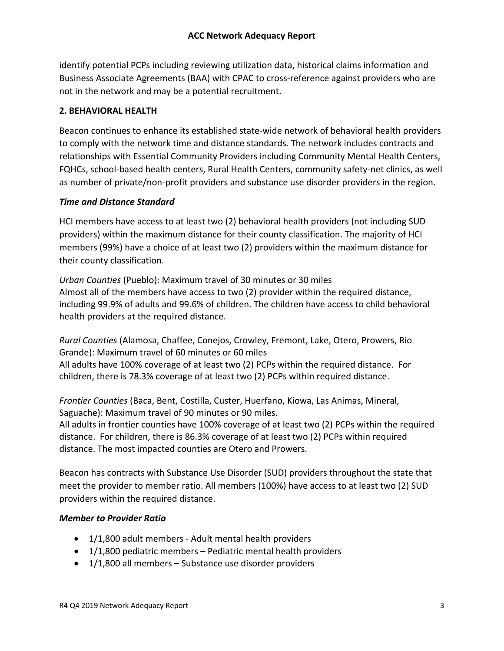identify potential PCPs including reviewing utilization data, historical claims information and Business Associate Agreements (BAA) with CPAC to cross-reference against providers who are not in the network and may be a potential recruitment.

## **2. BEHAVIORAL HEALTH**

Beacon continues to enhance its established state-wide network of behavioral health providers to comply with the network time and distance standards. The network includes contracts and relationships with Essential Community Providers including Community Mental Health Centers, FQHCs, school-based health centers, Rural Health Centers, community safety-net clinics, as well as number of private/non-profit providers and substance use disorder providers in the region.

## *Time and Distance Standard*

HCI members have access to at least two (2) behavioral health providers (not including SUD providers) within the maximum distance for their county classification. The majority of HCI members (99%) have a choice of at least two (2) providers within the maximum distance for their county classification.

*Urban Counties* (Pueblo): Maximum travel of 30 minutes or 30 miles Almost all of the members have access to two (2) provider within the required distance, including 99.9% of adults and 99.6% of children. The children have access to child behavioral health providers at the required distance.

*Rural Counties* (Alamosa, Chaffee, Conejos, Crowley, Fremont, Lake, Otero, Prowers, Rio Grande): Maximum travel of 60 minutes or 60 miles All adults have 100% coverage of at least two (2) PCPs within the required distance. For children, there is 78.3% coverage of at least two (2) PCPs within required distance.

*Frontier Counties* (Baca, Bent, Costilla, Custer, Huerfano, Kiowa, Las Animas, Mineral, Saguache): Maximum travel of 90 minutes or 90 miles.

All adults in frontier counties have 100% coverage of at least two (2) PCPs within the required distance. For children, there is 86.3% coverage of at least two (2) PCPs within required distance. The most impacted counties are Otero and Prowers.

Beacon has contracts with Substance Use Disorder (SUD) providers throughout the state that meet the provider to member ratio. All members (100%) have access to at least two (2) SUD providers within the required distance.

## *Member to Provider Ratio*

- 1/1,800 adult members Adult mental health providers
- 1/1,800 pediatric members Pediatric mental health providers
- 1/1,800 all members Substance use disorder providers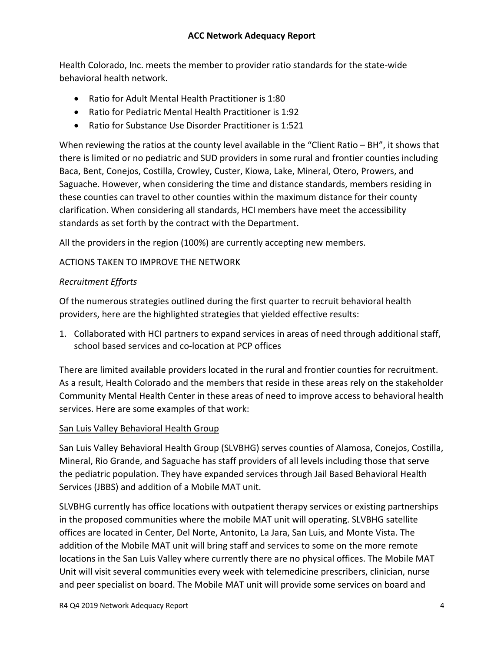Health Colorado, Inc. meets the member to provider ratio standards for the state-wide behavioral health network.

- Ratio for Adult Mental Health Practitioner is 1:80
- Ratio for Pediatric Mental Health Practitioner is 1:92
- Ratio for Substance Use Disorder Practitioner is 1:521

When reviewing the ratios at the county level available in the "Client Ratio – BH", it shows that there is limited or no pediatric and SUD providers in some rural and frontier counties including Baca, Bent, Conejos, Costilla, Crowley, Custer, Kiowa, Lake, Mineral, Otero, Prowers, and Saguache. However, when considering the time and distance standards, members residing in these counties can travel to other counties within the maximum distance for their county clarification. When considering all standards, HCI members have meet the accessibility standards as set forth by the contract with the Department.

All the providers in the region (100%) are currently accepting new members.

# ACTIONS TAKEN TO IMPROVE THE NETWORK

# *Recruitment Efforts*

Of the numerous strategies outlined during the first quarter to recruit behavioral health providers, here are the highlighted strategies that yielded effective results:

1. Collaborated with HCI partners to expand services in areas of need through additional staff, school based services and co-location at PCP offices

There are limited available providers located in the rural and frontier counties for recruitment. As a result, Health Colorado and the members that reside in these areas rely on the stakeholder Community Mental Health Center in these areas of need to improve access to behavioral health services. Here are some examples of that work:

# San Luis Valley Behavioral Health Group

San Luis Valley Behavioral Health Group (SLVBHG) serves counties of Alamosa, Conejos, Costilla, Mineral, Rio Grande, and Saguache has staff providers of all levels including those that serve the pediatric population. They have expanded services through Jail Based Behavioral Health Services (JBBS) and addition of a Mobile MAT unit.

SLVBHG currently has office locations with outpatient therapy services or existing partnerships in the proposed communities where the mobile MAT unit will operating. SLVBHG satellite offices are located in Center, Del Norte, Antonito, La Jara, San Luis, and Monte Vista. The addition of the Mobile MAT unit will bring staff and services to some on the more remote locations in the San Luis Valley where currently there are no physical offices. The Mobile MAT Unit will visit several communities every week with telemedicine prescribers, clinician, nurse and peer specialist on board. The Mobile MAT unit will provide some services on board and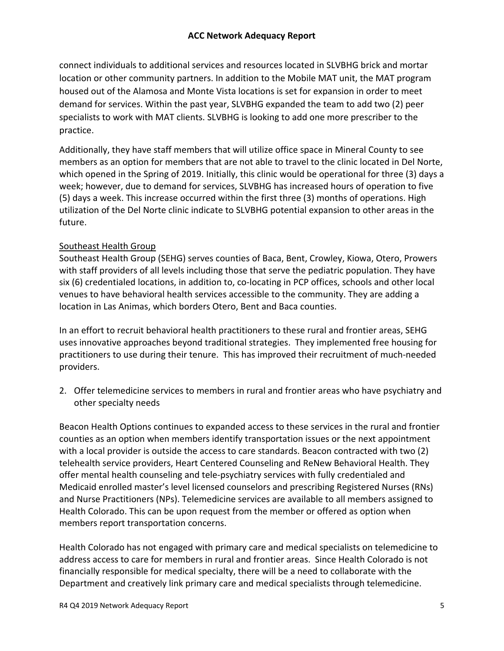connect individuals to additional services and resources located in SLVBHG brick and mortar location or other community partners. In addition to the Mobile MAT unit, the MAT program housed out of the Alamosa and Monte Vista locations is set for expansion in order to meet demand for services. Within the past year, SLVBHG expanded the team to add two (2) peer specialists to work with MAT clients. SLVBHG is looking to add one more prescriber to the practice.

Additionally, they have staff members that will utilize office space in Mineral County to see members as an option for members that are not able to travel to the clinic located in Del Norte, which opened in the Spring of 2019. Initially, this clinic would be operational for three (3) days a week; however, due to demand for services, SLVBHG has increased hours of operation to five (5) days a week. This increase occurred within the first three (3) months of operations. High utilization of the Del Norte clinic indicate to SLVBHG potential expansion to other areas in the future.

# Southeast Health Group

Southeast Health Group (SEHG) serves counties of Baca, Bent, Crowley, Kiowa, Otero, Prowers with staff providers of all levels including those that serve the pediatric population. They have six (6) credentialed locations, in addition to, co-locating in PCP offices, schools and other local venues to have behavioral health services accessible to the community. They are adding a location in Las Animas, which borders Otero, Bent and Baca counties.

In an effort to recruit behavioral health practitioners to these rural and frontier areas, SEHG uses innovative approaches beyond traditional strategies. They implemented free housing for practitioners to use during their tenure. This has improved their recruitment of much-needed providers.

2. Offer telemedicine services to members in rural and frontier areas who have psychiatry and other specialty needs

Beacon Health Options continues to expanded access to these services in the rural and frontier counties as an option when members identify transportation issues or the next appointment with a local provider is outside the access to care standards. Beacon contracted with two (2) telehealth service providers, Heart Centered Counseling and ReNew Behavioral Health. They offer mental health counseling and tele-psychiatry services with fully credentialed and Medicaid enrolled master's level licensed counselors and prescribing Registered Nurses (RNs) and Nurse Practitioners (NPs). Telemedicine services are available to all members assigned to Health Colorado. This can be upon request from the member or offered as option when members report transportation concerns.

Health Colorado has not engaged with primary care and medical specialists on telemedicine to address access to care for members in rural and frontier areas. Since Health Colorado is not financially responsible for medical specialty, there will be a need to collaborate with the Department and creatively link primary care and medical specialists through telemedicine.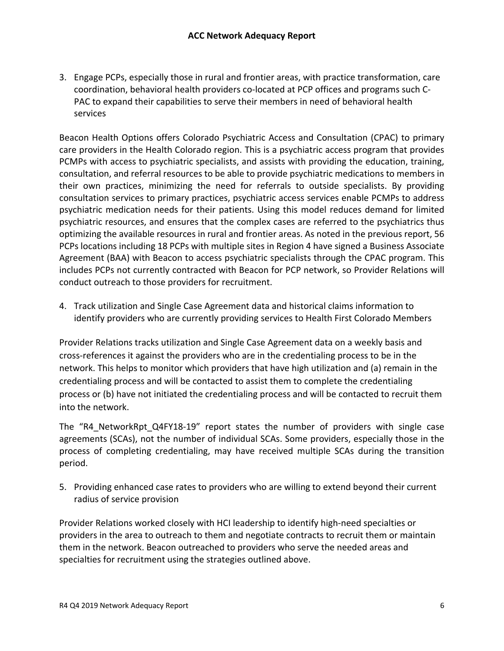3. Engage PCPs, especially those in rural and frontier areas, with practice transformation, care coordination, behavioral health providers co-located at PCP offices and programs such C-PAC to expand their capabilities to serve their members in need of behavioral health services

Beacon Health Options offers Colorado Psychiatric Access and Consultation (CPAC) to primary care providers in the Health Colorado region. This is a psychiatric access program that provides PCMPs with access to psychiatric specialists, and assists with providing the education, training, consultation, and referral resources to be able to provide psychiatric medications to members in their own practices, minimizing the need for referrals to outside specialists. By providing consultation services to primary practices, psychiatric access services enable PCMPs to address psychiatric medication needs for their patients. Using this model reduces demand for limited psychiatric resources, and ensures that the complex cases are referred to the psychiatrics thus optimizing the available resources in rural and frontier areas. As noted in the previous report, 56 PCPs locations including 18 PCPs with multiple sites in Region 4 have signed a Business Associate Agreement (BAA) with Beacon to access psychiatric specialists through the CPAC program. This includes PCPs not currently contracted with Beacon for PCP network, so Provider Relations will conduct outreach to those providers for recruitment.

4. Track utilization and Single Case Agreement data and historical claims information to identify providers who are currently providing services to Health First Colorado Members

Provider Relations tracks utilization and Single Case Agreement data on a weekly basis and cross-references it against the providers who are in the credentialing process to be in the network. This helps to monitor which providers that have high utilization and (a) remain in the credentialing process and will be contacted to assist them to complete the credentialing process or (b) have not initiated the credentialing process and will be contacted to recruit them into the network.

The "R4\_NetworkRpt\_Q4FY18-19" report states the number of providers with single case agreements (SCAs), not the number of individual SCAs. Some providers, especially those in the process of completing credentialing, may have received multiple SCAs during the transition period.

5. Providing enhanced case rates to providers who are willing to extend beyond their current radius of service provision

Provider Relations worked closely with HCI leadership to identify high-need specialties or providers in the area to outreach to them and negotiate contracts to recruit them or maintain them in the network. Beacon outreached to providers who serve the needed areas and specialties for recruitment using the strategies outlined above.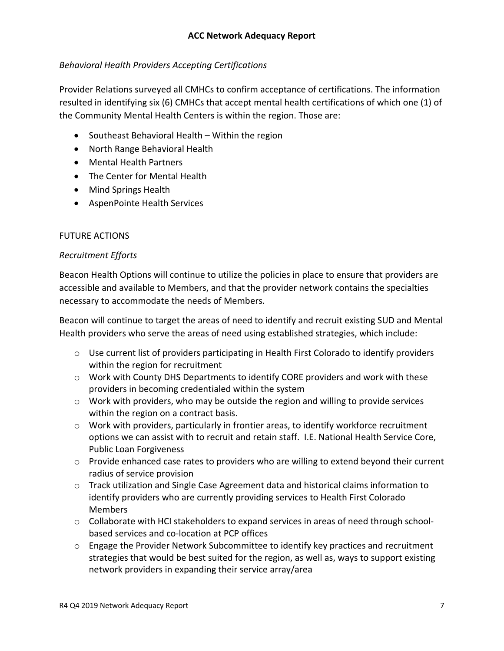# *Behavioral Health Providers Accepting Certifications*

Provider Relations surveyed all CMHCs to confirm acceptance of certifications. The information resulted in identifying six (6) CMHCs that accept mental health certifications of which one (1) of the Community Mental Health Centers is within the region. Those are:

- Southeast Behavioral Health Within the region
- North Range Behavioral Health
- Mental Health Partners
- The Center for Mental Health
- Mind Springs Health
- AspenPointe Health Services

# FUTURE ACTIONS

## *Recruitment Efforts*

Beacon Health Options will continue to utilize the policies in place to ensure that providers are accessible and available to Members, and that the provider network contains the specialties necessary to accommodate the needs of Members.

Beacon will continue to target the areas of need to identify and recruit existing SUD and Mental Health providers who serve the areas of need using established strategies, which include:

- $\circ$  Use current list of providers participating in Health First Colorado to identify providers within the region for recruitment
- $\circ$  Work with County DHS Departments to identify CORE providers and work with these providers in becoming credentialed within the system
- $\circ$  Work with providers, who may be outside the region and willing to provide services within the region on a contract basis.
- $\circ$  Work with providers, particularly in frontier areas, to identify workforce recruitment options we can assist with to recruit and retain staff. I.E. National Health Service Core, Public Loan Forgiveness
- o Provide enhanced case rates to providers who are willing to extend beyond their current radius of service provision
- $\circ$  Track utilization and Single Case Agreement data and historical claims information to identify providers who are currently providing services to Health First Colorado Members
- $\circ$  Collaborate with HCI stakeholders to expand services in areas of need through schoolbased services and co-location at PCP offices
- $\circ$  Engage the Provider Network Subcommittee to identify key practices and recruitment strategies that would be best suited for the region, as well as, ways to support existing network providers in expanding their service array/area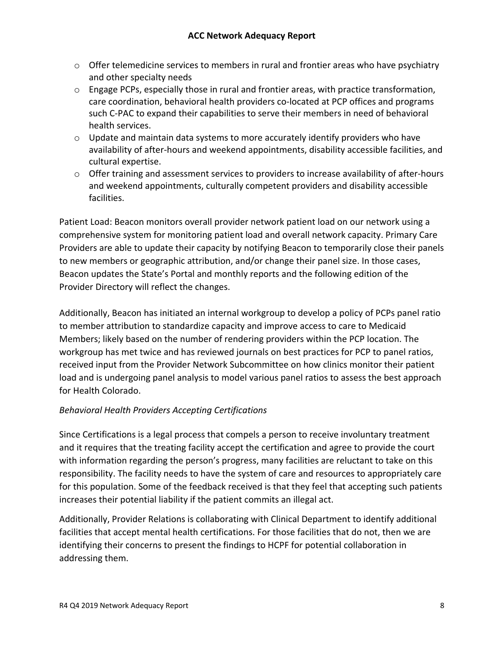- $\circ$  Offer telemedicine services to members in rural and frontier areas who have psychiatry and other specialty needs
- o Engage PCPs, especially those in rural and frontier areas, with practice transformation, care coordination, behavioral health providers co-located at PCP offices and programs such C-PAC to expand their capabilities to serve their members in need of behavioral health services.
- $\circ$  Update and maintain data systems to more accurately identify providers who have availability of after-hours and weekend appointments, disability accessible facilities, and cultural expertise.
- $\circ$  Offer training and assessment services to providers to increase availability of after-hours and weekend appointments, culturally competent providers and disability accessible facilities.

Patient Load: Beacon monitors overall provider network patient load on our network using a comprehensive system for monitoring patient load and overall network capacity. Primary Care Providers are able to update their capacity by notifying Beacon to temporarily close their panels to new members or geographic attribution, and/or change their panel size. In those cases, Beacon updates the State's Portal and monthly reports and the following edition of the Provider Directory will reflect the changes.

Additionally, Beacon has initiated an internal workgroup to develop a policy of PCPs panel ratio to member attribution to standardize capacity and improve access to care to Medicaid Members; likely based on the number of rendering providers within the PCP location. The workgroup has met twice and has reviewed journals on best practices for PCP to panel ratios, received input from the Provider Network Subcommittee on how clinics monitor their patient load and is undergoing panel analysis to model various panel ratios to assess the best approach for Health Colorado.

# *Behavioral Health Providers Accepting Certifications*

Since Certifications is a legal process that compels a person to receive involuntary treatment and it requires that the treating facility accept the certification and agree to provide the court with information regarding the person's progress, many facilities are reluctant to take on this responsibility. The facility needs to have the system of care and resources to appropriately care for this population. Some of the feedback received is that they feel that accepting such patients increases their potential liability if the patient commits an illegal act.

Additionally, Provider Relations is collaborating with Clinical Department to identify additional facilities that accept mental health certifications. For those facilities that do not, then we are identifying their concerns to present the findings to HCPF for potential collaboration in addressing them.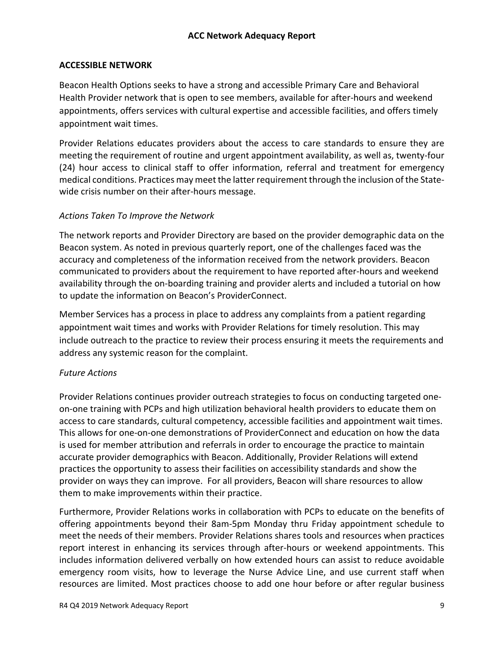# **ACCESSIBLE NETWORK**

Beacon Health Options seeks to have a strong and accessible Primary Care and Behavioral Health Provider network that is open to see members, available for after-hours and weekend appointments, offers services with cultural expertise and accessible facilities, and offers timely appointment wait times.

Provider Relations educates providers about the access to care standards to ensure they are meeting the requirement of routine and urgent appointment availability, as well as, twenty-four (24) hour access to clinical staff to offer information, referral and treatment for emergency medical conditions. Practices may meet the latter requirement through the inclusion of the Statewide crisis number on their after-hours message.

## *Actions Taken To Improve the Network*

The network reports and Provider Directory are based on the provider demographic data on the Beacon system. As noted in previous quarterly report, one of the challenges faced was the accuracy and completeness of the information received from the network providers. Beacon communicated to providers about the requirement to have reported after-hours and weekend availability through the on-boarding training and provider alerts and included a tutorial on how to update the information on Beacon's ProviderConnect.

Member Services has a process in place to address any complaints from a patient regarding appointment wait times and works with Provider Relations for timely resolution. This may include outreach to the practice to review their process ensuring it meets the requirements and address any systemic reason for the complaint.

## *Future Actions*

Provider Relations continues provider outreach strategies to focus on conducting targeted oneon-one training with PCPs and high utilization behavioral health providers to educate them on access to care standards, cultural competency, accessible facilities and appointment wait times. This allows for one-on-one demonstrations of ProviderConnect and education on how the data is used for member attribution and referrals in order to encourage the practice to maintain accurate provider demographics with Beacon. Additionally, Provider Relations will extend practices the opportunity to assess their facilities on accessibility standards and show the provider on ways they can improve. For all providers, Beacon will share resources to allow them to make improvements within their practice.

Furthermore, Provider Relations works in collaboration with PCPs to educate on the benefits of offering appointments beyond their 8am-5pm Monday thru Friday appointment schedule to meet the needs of their members. Provider Relations shares tools and resources when practices report interest in enhancing its services through after-hours or weekend appointments. This includes information delivered verbally on how extended hours can assist to reduce avoidable emergency room visits, how to leverage the Nurse Advice Line, and use current staff when resources are limited. Most practices choose to add one hour before or after regular business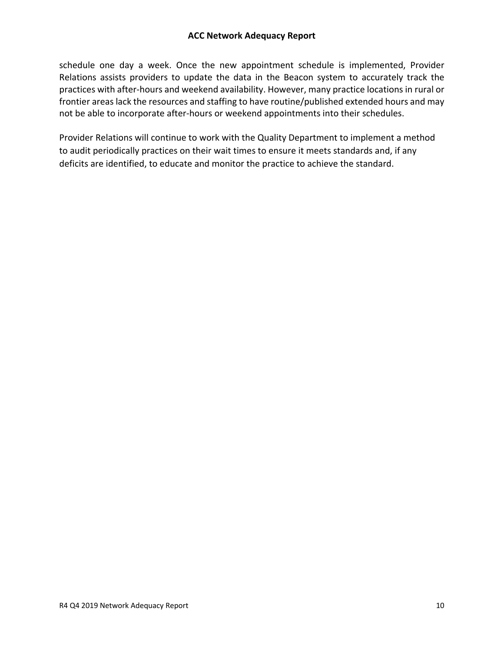schedule one day a week. Once the new appointment schedule is implemented, Provider Relations assists providers to update the data in the Beacon system to accurately track the practices with after-hours and weekend availability. However, many practice locations in rural or frontier areas lack the resources and staffing to have routine/published extended hours and may not be able to incorporate after-hours or weekend appointments into their schedules.

Provider Relations will continue to work with the Quality Department to implement a method to audit periodically practices on their wait times to ensure it meets standards and, if any deficits are identified, to educate and monitor the practice to achieve the standard.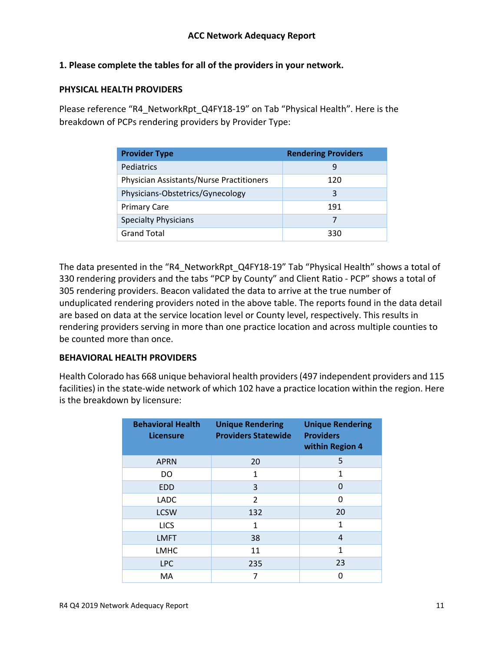# **1. Please complete the tables for all of the providers in your network.**

#### **PHYSICAL HEALTH PROVIDERS**

Please reference "R4\_NetworkRpt\_Q4FY18-19" on Tab "Physical Health". Here is the breakdown of PCPs rendering providers by Provider Type:

| <b>Provider Type</b>                     | <b>Rendering Providers</b> |
|------------------------------------------|----------------------------|
| Pediatrics                               | q                          |
| Physician Assistants/Nurse Practitioners | 120                        |
| Physicians-Obstetrics/Gynecology         | 3                          |
| <b>Primary Care</b>                      | 191                        |
| <b>Specialty Physicians</b>              |                            |
| <b>Grand Total</b>                       | 330                        |

The data presented in the "R4\_NetworkRpt\_Q4FY18-19" Tab "Physical Health" shows a total of 330 rendering providers and the tabs "PCP by County" and Client Ratio - PCP" shows a total of 305 rendering providers. Beacon validated the data to arrive at the true number of unduplicated rendering providers noted in the above table. The reports found in the data detail are based on data at the service location level or County level, respectively. This results in rendering providers serving in more than one practice location and across multiple counties to be counted more than once.

## **BEHAVIORAL HEALTH PROVIDERS**

Health Colorado has 668 unique behavioral health providers (497 independent providers and 115 facilities) in the state-wide network of which 102 have a practice location within the region. Here is the breakdown by licensure:

| <b>Behavioral Health</b><br><b>Licensure</b> | <b>Unique Rendering</b><br><b>Providers Statewide</b> | <b>Unique Rendering</b><br><b>Providers</b><br>within Region 4 |
|----------------------------------------------|-------------------------------------------------------|----------------------------------------------------------------|
| <b>APRN</b>                                  | 20                                                    | 5                                                              |
| DO                                           | 1                                                     | 1                                                              |
| <b>EDD</b>                                   | 3                                                     | $\Omega$                                                       |
| <b>LADC</b>                                  | $\overline{2}$                                        | $\Omega$                                                       |
| <b>LCSW</b>                                  | 132                                                   | 20                                                             |
| <b>LICS</b>                                  | 1                                                     | 1                                                              |
| <b>LMFT</b>                                  | 38                                                    | $\overline{4}$                                                 |
| <b>LMHC</b>                                  | 11                                                    | 1                                                              |
| <b>LPC</b>                                   | 235                                                   | 23                                                             |
| MA                                           | 7                                                     | U                                                              |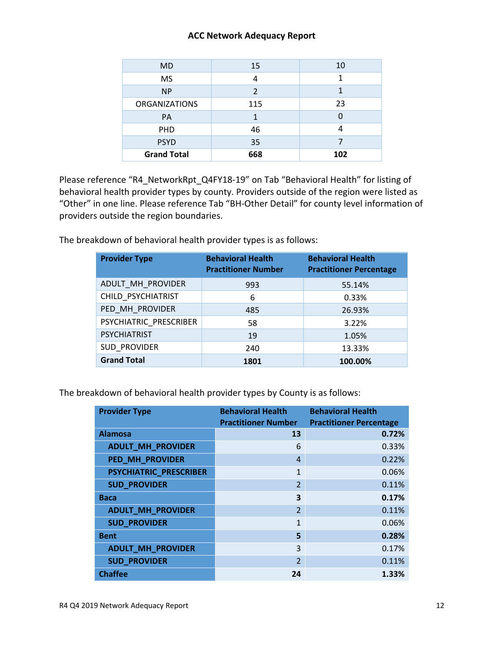| M <sub>D</sub>       | 15             | 10  |
|----------------------|----------------|-----|
| <b>MS</b>            | 4              |     |
| <b>NP</b>            | $\mathfrak{p}$ |     |
| <b>ORGANIZATIONS</b> | 115            | 23  |
| <b>PA</b>            |                |     |
| <b>PHD</b>           | 46             |     |
| <b>PSYD</b>          | 35             |     |
| <b>Grand Total</b>   | 668            | 102 |

Please reference "R4\_NetworkRpt\_Q4FY18-19" on Tab "Behavioral Health" for listing of behavioral health provider types by county. Providers outside of the region were listed as "Other" in one line. Please reference Tab "BH-Other Detail" for county level information of providers outside the region boundaries.

The breakdown of behavioral health provider types is as follows:

| <b>Provider Type</b>   | <b>Behavioral Health</b><br><b>Practitioner Number</b> | <b>Behavioral Health</b><br><b>Practitioner Percentage</b> |
|------------------------|--------------------------------------------------------|------------------------------------------------------------|
| ADULT_MH_PROVIDER      | 993                                                    | 55.14%                                                     |
| CHILD_PSYCHIATRIST     | 6                                                      | 0.33%                                                      |
| PED MH PROVIDER        | 485                                                    | 26.93%                                                     |
| PSYCHIATRIC PRESCRIBER | 58                                                     | 3.22%                                                      |
| <b>PSYCHIATRIST</b>    | 19                                                     | 1.05%                                                      |
| <b>SUD PROVIDER</b>    | 240                                                    | 13.33%                                                     |
| <b>Grand Total</b>     | 1801                                                   | 100.00%                                                    |

The breakdown of behavioral health provider types by County is as follows:

| <b>Provider Type</b>     | <b>Behavioral Health</b><br><b>Practitioner Number</b> | <b>Behavioral Health</b><br><b>Practitioner Percentage</b> |
|--------------------------|--------------------------------------------------------|------------------------------------------------------------|
| <b>Alamosa</b>           | 13                                                     | 0.72%                                                      |
| <b>ADULT_MH_PROVIDER</b> | 6                                                      | 0.33%                                                      |
| PED_MH_PROVIDER          | $\overline{4}$                                         | 0.22%                                                      |
| PSYCHIATRIC_PRESCRIBER   | 1                                                      | 0.06%                                                      |
| <b>SUD_PROVIDER</b>      | $\overline{2}$                                         | 0.11%                                                      |
| <b>Baca</b>              | 3                                                      | 0.17%                                                      |
| <b>ADULT_MH_PROVIDER</b> | $\overline{2}$                                         | 0.11%                                                      |
| <b>SUD_PROVIDER</b>      | $\mathbf{1}$                                           | 0.06%                                                      |
| <b>Bent</b>              | 5                                                      | 0.28%                                                      |
| <b>ADULT_MH_PROVIDER</b> | 3                                                      | 0.17%                                                      |
| <b>SUD_PROVIDER</b>      | $\overline{2}$                                         | 0.11%                                                      |
| <b>Chaffee</b>           | 24                                                     | 1.33%                                                      |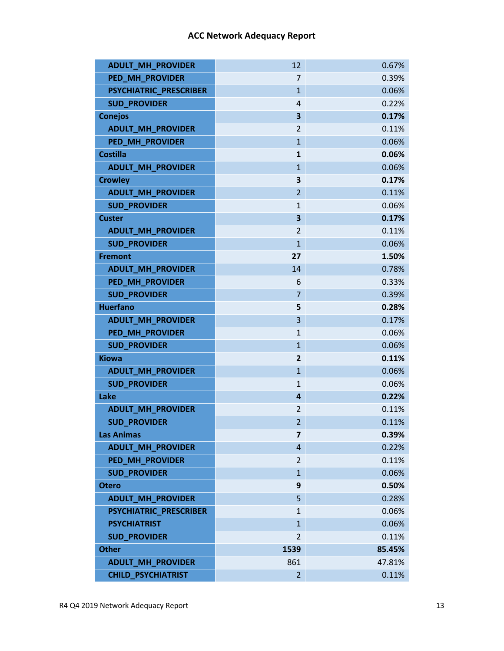| <b>ADULT_MH_PROVIDER</b>      | 12             | 0.67%  |
|-------------------------------|----------------|--------|
| <b>PED MH PROVIDER</b>        | $\overline{7}$ | 0.39%  |
| PSYCHIATRIC_PRESCRIBER        | $\mathbf{1}$   | 0.06%  |
| <b>SUD_PROVIDER</b>           | 4              | 0.22%  |
| <b>Conejos</b>                | 3              | 0.17%  |
| <b>ADULT_MH_PROVIDER</b>      | $\overline{2}$ | 0.11%  |
| <b>PED MH PROVIDER</b>        | $\mathbf{1}$   | 0.06%  |
| <b>Costilla</b>               | $\mathbf{1}$   | 0.06%  |
| <b>ADULT MH PROVIDER</b>      | $\mathbf{1}$   | 0.06%  |
| <b>Crowley</b>                | 3              | 0.17%  |
| <b>ADULT_MH_PROVIDER</b>      | $\overline{2}$ | 0.11%  |
| <b>SUD PROVIDER</b>           | $\mathbf{1}$   | 0.06%  |
| <b>Custer</b>                 | 3              | 0.17%  |
| <b>ADULT_MH_PROVIDER</b>      | 2              | 0.11%  |
| <b>SUD_PROVIDER</b>           | $\overline{1}$ | 0.06%  |
| <b>Fremont</b>                | 27             | 1.50%  |
| <b>ADULT MH PROVIDER</b>      | 14             | 0.78%  |
| <b>PED MH_PROVIDER</b>        | 6              | 0.33%  |
| <b>SUD_PROVIDER</b>           | 7              | 0.39%  |
| <b>Huerfano</b>               | 5              | 0.28%  |
| <b>ADULT MH PROVIDER</b>      | 3              | 0.17%  |
| PED_MH_PROVIDER               | $\mathbf{1}$   | 0.06%  |
| <b>SUD_PROVIDER</b>           | $\mathbf{1}$   | 0.06%  |
| <b>Kiowa</b>                  | $\mathbf{2}$   | 0.11%  |
| <b>ADULT_MH_PROVIDER</b>      | $\mathbf{1}$   | 0.06%  |
| <b>SUD PROVIDER</b>           | $\mathbf{1}$   | 0.06%  |
| Lake                          | 4              | 0.22%  |
| <b>ADULT_MH_PROVIDER</b>      | $\overline{2}$ | 0.11%  |
| <b>SUD_PROVIDER</b>           | $\overline{2}$ | 0.11%  |
| <b>Las Animas</b>             | 7              | 0.39%  |
| <b>ADULT MH PROVIDER</b>      | 4              | 0.22%  |
| <b>PED_MH_PROVIDER</b>        | $\overline{2}$ | 0.11%  |
| <b>SUD_PROVIDER</b>           | $\mathbf{1}$   | 0.06%  |
| <b>Otero</b>                  | 9              | 0.50%  |
| <b>ADULT MH PROVIDER</b>      | 5              | 0.28%  |
| <b>PSYCHIATRIC PRESCRIBER</b> | $\mathbf{1}$   | 0.06%  |
| <b>PSYCHIATRIST</b>           | $\mathbf{1}$   | 0.06%  |
| <b>SUD_PROVIDER</b>           | $\overline{2}$ | 0.11%  |
| <b>Other</b>                  | 1539           | 85.45% |
| <b>ADULT_MH_PROVIDER</b>      | 861            | 47.81% |
| <b>CHILD_PSYCHIATRIST</b>     | $\overline{2}$ | 0.11%  |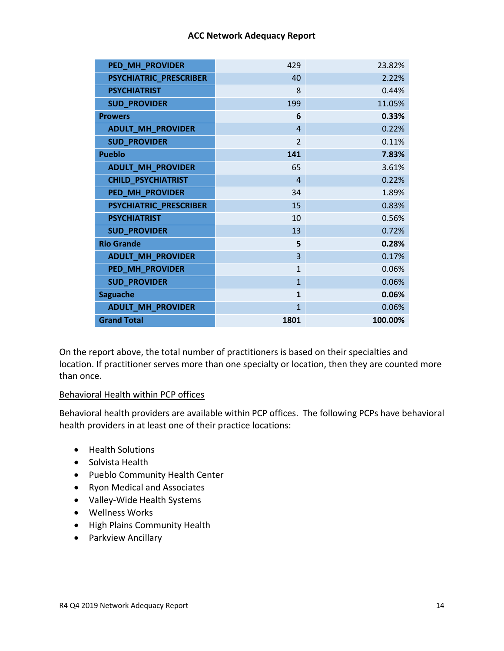| PED_MH_PROVIDER               | 429                     | 23.82%  |
|-------------------------------|-------------------------|---------|
| <b>PSYCHIATRIC_PRESCRIBER</b> | 40                      | 2.22%   |
| <b>PSYCHIATRIST</b>           | 8                       | 0.44%   |
| <b>SUD_PROVIDER</b>           | 199                     | 11.05%  |
| <b>Prowers</b>                | 6                       | 0.33%   |
| <b>ADULT_MH_PROVIDER</b>      | $\boldsymbol{\Lambda}$  | 0.22%   |
| <b>SUD_PROVIDER</b>           | $\overline{\mathbf{c}}$ | 0.11%   |
| <b>Pueblo</b>                 | 141                     | 7.83%   |
| <b>ADULT_MH_PROVIDER</b>      | 65                      | 3.61%   |
| <b>CHILD_PSYCHIATRIST</b>     | $\overline{4}$          | 0.22%   |
| PED_MH_PROVIDER               | 34                      | 1.89%   |
| PSYCHIATRIC_PRESCRIBER        | 15                      | 0.83%   |
| <b>PSYCHIATRIST</b>           | 10                      | 0.56%   |
| <b>SUD_PROVIDER</b>           | 13                      | 0.72%   |
| <b>Rio Grande</b>             | 5                       | 0.28%   |
| <b>ADULT_MH_PROVIDER</b>      | $\overline{3}$          | 0.17%   |
| PED_MH_PROVIDER               | $\mathbf{1}$            | 0.06%   |
| <b>SUD_PROVIDER</b>           | $\overline{1}$          | 0.06%   |
| <b>Saguache</b>               | $\mathbf{1}$            | 0.06%   |
| <b>ADULT_MH_PROVIDER</b>      | $\mathbf{1}$            | 0.06%   |
| <b>Grand Total</b>            | 1801                    | 100.00% |

On the report above, the total number of practitioners is based on their specialties and location. If practitioner serves more than one specialty or location, then they are counted more than once.

## Behavioral Health within PCP offices

Behavioral health providers are available within PCP offices. The following PCPs have behavioral health providers in at least one of their practice locations:

- Health Solutions
- Solvista Health
- Pueblo Community Health Center
- Ryon Medical and Associates
- Valley-Wide Health Systems
- Wellness Works
- High Plains Community Health
- Parkview Ancillary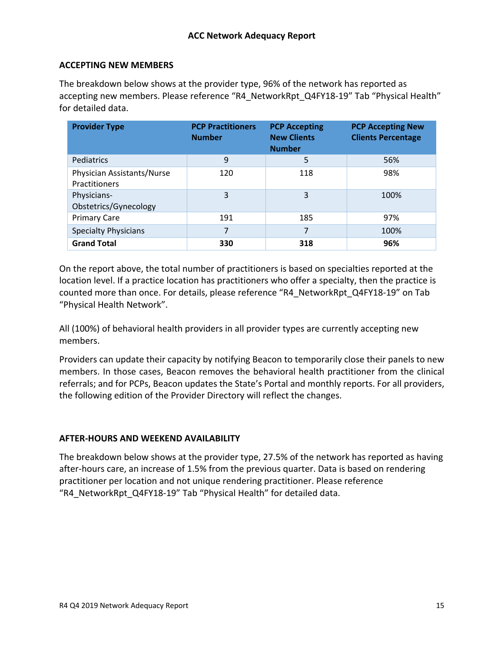# **ACCEPTING NEW MEMBERS**

The breakdown below shows at the provider type, 96% of the network has reported as accepting new members. Please reference "R4\_NetworkRpt\_Q4FY18-19" Tab "Physical Health" for detailed data.

| <b>Provider Type</b>                        | <b>PCP Practitioners</b><br><b>Number</b> | <b>PCP Accepting</b><br><b>New Clients</b><br><b>Number</b> | <b>PCP Accepting New</b><br><b>Clients Percentage</b> |
|---------------------------------------------|-------------------------------------------|-------------------------------------------------------------|-------------------------------------------------------|
| Pediatrics                                  | 9                                         | 5                                                           | 56%                                                   |
| Physician Assistants/Nurse<br>Practitioners | 120                                       | 118                                                         | 98%                                                   |
| Physicians-<br>Obstetrics/Gynecology        | 3                                         | 3                                                           | 100%                                                  |
| <b>Primary Care</b>                         | 191                                       | 185                                                         | 97%                                                   |
| <b>Specialty Physicians</b>                 | 7                                         | 7                                                           | 100%                                                  |
| <b>Grand Total</b>                          | 330                                       | 318                                                         | 96%                                                   |

On the report above, the total number of practitioners is based on specialties reported at the location level. If a practice location has practitioners who offer a specialty, then the practice is counted more than once. For details, please reference "R4\_NetworkRpt\_Q4FY18-19" on Tab "Physical Health Network".

All (100%) of behavioral health providers in all provider types are currently accepting new members.

Providers can update their capacity by notifying Beacon to temporarily close their panels to new members. In those cases, Beacon removes the behavioral health practitioner from the clinical referrals; and for PCPs, Beacon updates the State's Portal and monthly reports. For all providers, the following edition of the Provider Directory will reflect the changes.

## **AFTER-HOURS AND WEEKEND AVAILABILITY**

The breakdown below shows at the provider type, 27.5% of the network has reported as having after-hours care, an increase of 1.5% from the previous quarter. Data is based on rendering practitioner per location and not unique rendering practitioner. Please reference "R4\_NetworkRpt\_Q4FY18-19" Tab "Physical Health" for detailed data.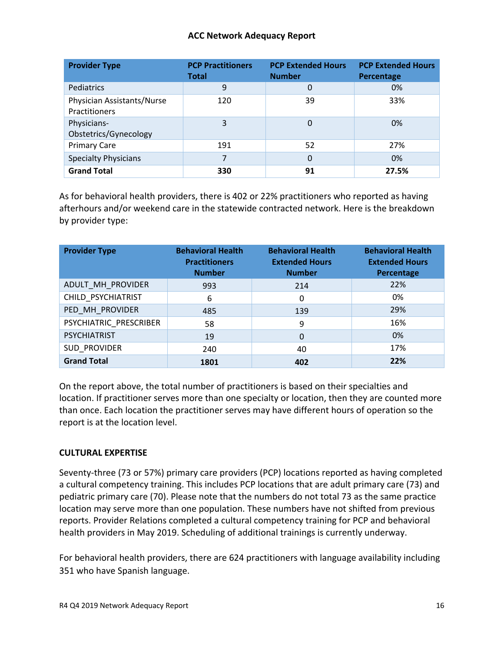| <b>Provider Type</b>                               | <b>PCP Practitioners</b><br><b>Total</b> | <b>PCP Extended Hours</b><br><b>Number</b> | <b>PCP Extended Hours</b><br>Percentage |
|----------------------------------------------------|------------------------------------------|--------------------------------------------|-----------------------------------------|
| Pediatrics                                         | 9                                        | $\mathbf 0$                                | 0%                                      |
| Physician Assistants/Nurse<br><b>Practitioners</b> | 120                                      | 39                                         | 33%                                     |
| Physicians-<br>Obstetrics/Gynecology               | 3                                        | 0                                          | 0%                                      |
| <b>Primary Care</b>                                | 191                                      | 52                                         | 27%                                     |
| <b>Specialty Physicians</b>                        | 7                                        | 0                                          | 0%                                      |
| <b>Grand Total</b>                                 | 330                                      | 91                                         | 27.5%                                   |

As for behavioral health providers, there is 402 or 22% practitioners who reported as having afterhours and/or weekend care in the statewide contracted network. Here is the breakdown by provider type:

| <b>Provider Type</b>   | <b>Behavioral Health</b><br><b>Practitioners</b><br><b>Number</b> | <b>Behavioral Health</b><br><b>Extended Hours</b><br><b>Number</b> | <b>Behavioral Health</b><br><b>Extended Hours</b><br>Percentage |
|------------------------|-------------------------------------------------------------------|--------------------------------------------------------------------|-----------------------------------------------------------------|
| ADULT_MH_PROVIDER      | 993                                                               | 214                                                                | 22%                                                             |
| CHILD PSYCHIATRIST     | 6                                                                 | 0                                                                  | 0%                                                              |
| PED MH PROVIDER        | 485                                                               | 139                                                                | 29%                                                             |
| PSYCHIATRIC PRESCRIBER | 58                                                                | 9                                                                  | 16%                                                             |
| <b>PSYCHIATRIST</b>    | 19                                                                | $\Omega$                                                           | 0%                                                              |
| SUD_PROVIDER           | 240                                                               | 40                                                                 | 17%                                                             |
| <b>Grand Total</b>     | 1801                                                              | 402                                                                | 22%                                                             |

On the report above, the total number of practitioners is based on their specialties and location. If practitioner serves more than one specialty or location, then they are counted more than once. Each location the practitioner serves may have different hours of operation so the report is at the location level.

## **CULTURAL EXPERTISE**

Seventy-three (73 or 57%) primary care providers (PCP) locations reported as having completed a cultural competency training. This includes PCP locations that are adult primary care (73) and pediatric primary care (70). Please note that the numbers do not total 73 as the same practice location may serve more than one population. These numbers have not shifted from previous reports. Provider Relations completed a cultural competency training for PCP and behavioral health providers in May 2019. Scheduling of additional trainings is currently underway.

For behavioral health providers, there are 624 practitioners with language availability including 351 who have Spanish language.